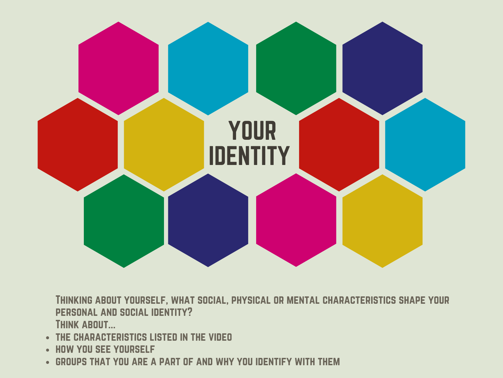

Thinking about yourself, what social, physical or mental characteristics shape your personal and social identity? THINK ABOUT...

- **THE CHARACTERISTICS LISTED IN THE VIDEO**
- HOW YOU SEE YOURSELF
- groups that you are a part of and why you identify with them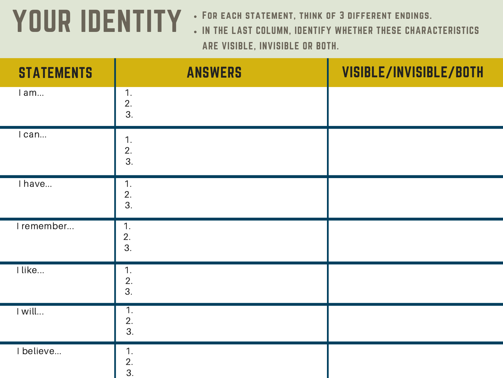## YOUR IDENTITY • FOR EACH STATEMENT, THINK OF 3 DIFFERENT ENDINGS.

- 
- IN THE LAST COLUMN, IDENTIFY WHETHER THESE CHARACTERISTICS ARE VISIBLE, INVISIBLE OR BOTH.

| <b>STATEMENTS</b> | <b>ANSWERS</b>                      | VISIBLE/INVISIBLE/BOTH |
|-------------------|-------------------------------------|------------------------|
| I am              | 1.<br>2.<br>3.                      |                        |
| I can             | 1.<br>$\frac{2}{3}$ .               |                        |
| I have            | 1.<br>2.<br>3.                      |                        |
| I remember        | 1.<br>2.<br>3.                      |                        |
| I like            | 1.<br>2.<br>3.                      |                        |
| I will            | $\overline{1}$ .<br>$\frac{2}{3}$ . |                        |
| I believe         | 1.<br>2.<br>$\overline{3}$ .        |                        |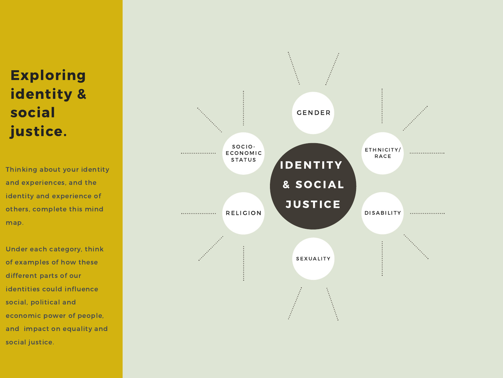## ring identity & social justice.

Thinking about your identity and experiences, and the identity and experience of others, complete this mind map.

Under each category, think of examples of how these different parts of our identities could influence social, political and economic power of people, and impact on equality and social iustic **Exploi**<br> **identi**<br> **social**<br> **justice**<br>
thinking abou<br>
nd experienc<br>
dentity and experienc<br>
dentity and experienc<br>
nap.<br>
nder each ca<br>
f examples of<br>
ifferent parts<br>
dentities coul<br>
pocial, politica<br>
conomic pow<br>
nd impac